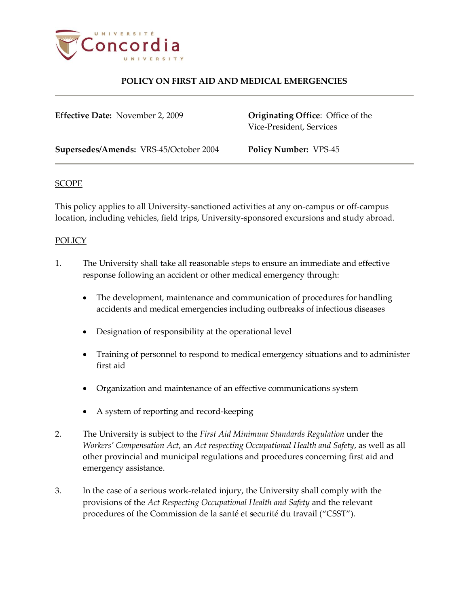

| <b>Effective Date: November 2, 2009</b> | <b>Originating Office:</b> Office of the<br>Vice-President, Services |
|-----------------------------------------|----------------------------------------------------------------------|
| Supersedes/Amends: VRS-45/October 2004  | <b>Policy Number: VPS-45</b>                                         |

#### **SCOPE**

This policy applies to all University-sanctioned activities at any on-campus or off-campus location, including vehicles, field trips, University-sponsored excursions and study abroad.

#### POLICY

- 1. The University shall take all reasonable steps to ensure an immediate and effective response following an accident or other medical emergency through:
	- The development, maintenance and communication of procedures for handling accidents and medical emergencies including outbreaks of infectious diseases
	- Designation of responsibility at the operational level
	- Training of personnel to respond to medical emergency situations and to administer first aid
	- Organization and maintenance of an effective communications system
	- A system of reporting and record-keeping
- 2. The University is subject to the *First Aid Minimum Standards Regulation* under the *Workers' Compensation Act*, an *Act respecting Occupational Health and Safety*, as well as all other provincial and municipal regulations and procedures concerning first aid and emergency assistance.
- 3. In the case of a serious work-related injury, the University shall comply with the provisions of the *Act Respecting Occupational Health and Safety* and the relevant procedures of the Commission de la santé et securité du travail ("CSST").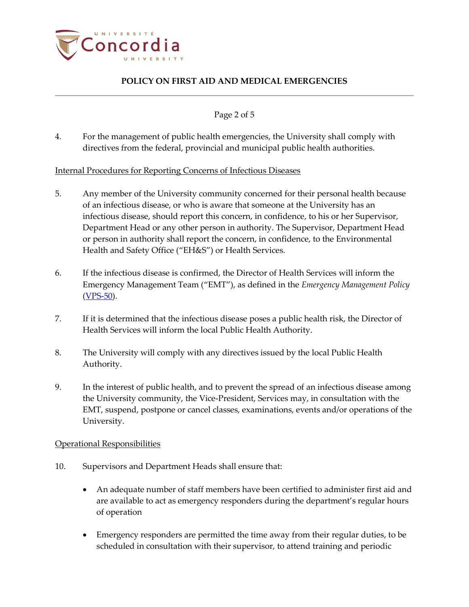

Page 2 of 5

4. For the management of public health emergencies, the University shall comply with directives from the federal, provincial and municipal public health authorities.

### Internal Procedures for Reporting Concerns of Infectious Diseases

- 5. Any member of the University community concerned for their personal health because of an infectious disease, or who is aware that someone at the University has an infectious disease, should report this concern, in confidence, to his or her Supervisor, Department Head or any other person in authority. The Supervisor, Department Head or person in authority shall report the concern, in confidence, to the Environmental Health and Safety Office ("EH&S") or Health Services.
- 6. If the infectious disease is confirmed, the Director of Health Services will inform the Emergency Management Team ("EMT"), as defined in the *Emergency Management Policy*  $(YPS-50)$ .
- 7. If it is determined that the infectious disease poses a public health risk, the Director of Health Services will inform the local Public Health Authority.
- 8. The University will comply with any directives issued by the local Public Health Authority.
- 9. In the interest of public health, and to prevent the spread of an infectious disease among the University community, the Vice-President, Services may, in consultation with the EMT, suspend, postpone or cancel classes, examinations, events and/or operations of the University.

### Operational Responsibilities

- 10. Supervisors and Department Heads shall ensure that:
	- An adequate number of staff members have been certified to administer first aid and are available to act as emergency responders during the department's regular hours of operation
	- Emergency responders are permitted the time away from their regular duties, to be scheduled in consultation with their supervisor, to attend training and periodic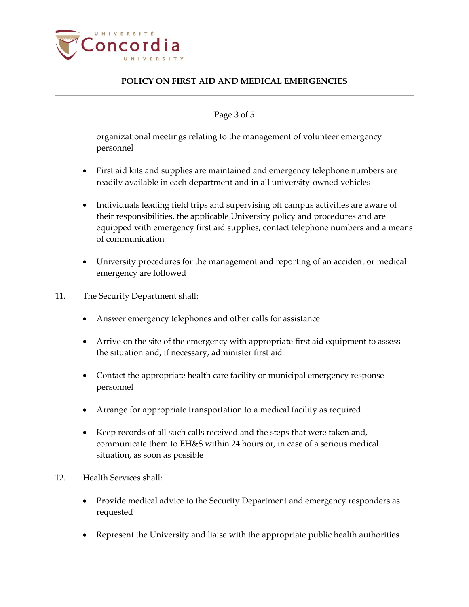

#### Page 3 of 5

organizational meetings relating to the management of volunteer emergency personnel

- First aid kits and supplies are maintained and emergency telephone numbers are readily available in each department and in all university-owned vehicles
- Individuals leading field trips and supervising off campus activities are aware of their responsibilities, the applicable University policy and procedures and are equipped with emergency first aid supplies, contact telephone numbers and a means of communication
- University procedures for the management and reporting of an accident or medical emergency are followed
- 11. The Security Department shall:
	- Answer emergency telephones and other calls for assistance
	- Arrive on the site of the emergency with appropriate first aid equipment to assess the situation and, if necessary, administer first aid
	- Contact the appropriate health care facility or municipal emergency response personnel
	- Arrange for appropriate transportation to a medical facility as required
	- Keep records of all such calls received and the steps that were taken and, communicate them to EH&S within 24 hours or, in case of a serious medical situation, as soon as possible
- 12. Health Services shall:
	- Provide medical advice to the Security Department and emergency responders as requested
	- Represent the University and liaise with the appropriate public health authorities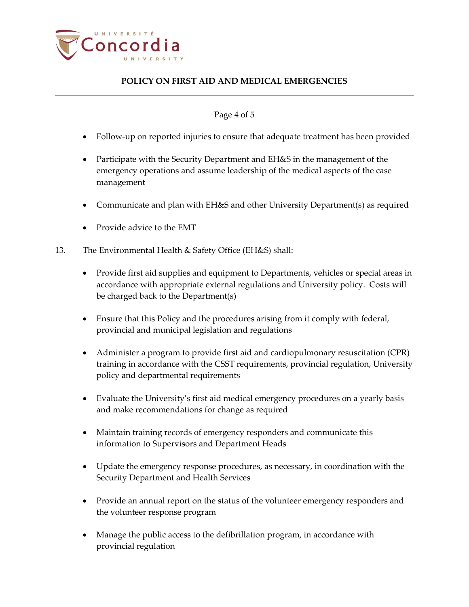

#### Page 4 of 5

- Follow-up on reported injuries to ensure that adequate treatment has been provided
- Participate with the Security Department and EH&S in the management of the emergency operations and assume leadership of the medical aspects of the case management
- Communicate and plan with EH&S and other University Department(s) as required
- Provide advice to the EMT
- 13. The Environmental Health & Safety Office (EH&S) shall:
	- Provide first aid supplies and equipment to Departments, vehicles or special areas in accordance with appropriate external regulations and University policy. Costs will be charged back to the Department(s)
	- Ensure that this Policy and the procedures arising from it comply with federal, provincial and municipal legislation and regulations
	- Administer a program to provide first aid and cardiopulmonary resuscitation (CPR) training in accordance with the CSST requirements, provincial regulation, University policy and departmental requirements
	- Evaluate the University's first aid medical emergency procedures on a yearly basis and make recommendations for change as required
	- Maintain training records of emergency responders and communicate this information to Supervisors and Department Heads
	- Update the emergency response procedures, as necessary, in coordination with the Security Department and Health Services
	- Provide an annual report on the status of the volunteer emergency responders and the volunteer response program
	- Manage the public access to the defibrillation program, in accordance with provincial regulation